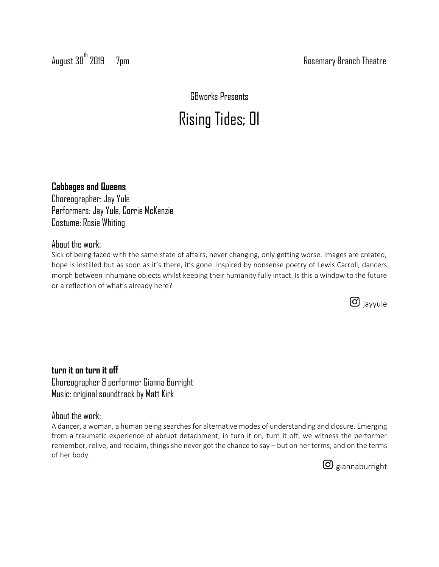August 30<sup>th</sup> 2019 7pm 7pm Rosemary Branch Theatre

GBworks Presents

# Rising Tides; 01

### **Cabbages and Queens**

Choreographer: Jay Yule Performers: Jay Yule, Corrie McKenzie Costume: Rosie Whiting

### About the work:

Sick of being faced with the same state of affairs, never changing, only getting worse. Images are created, hope is instilled but as soon as it's there, it's gone. Inspired by nonsense poetry of Lewis Carroll, dancers morph between inhumane objects whilst keeping their humanity fully intact. Is this a window to the future or a reflection of what's already here?



**turn it on turn it off** Choreographer & performer Gianna Burright Music: original soundtrack by Matt Kirk

### About the work:

A dancer, a woman, a human being searches for alternative modes of understanding and closure. Emerging from a traumatic experience of abrupt detachment, in turn it on, turn it off, we witness the performer remember, relive, and reclaim, things she never got the chance to say – but on her terms, and on the terms of her body.

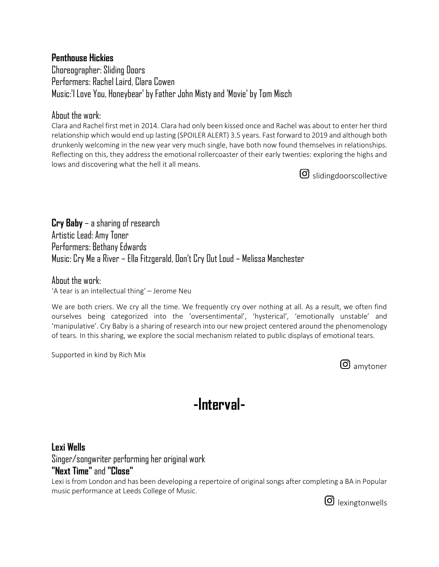### **Penthouse Hickies**

Choreographer: Sliding Doors Performers: Rachel Laird, Clara Cowen Music:'I Love You, Honeybear' by Father John Misty and 'Movie' by Tom Misch

### Ahout the work:

Clara and Rachel first met in 2014. Clara had only been kissed once and Rachel was about to enter her third relationship which would end up lasting (SPOILER ALERT) 3.5 years. Fast forward to 2019 and although both drunkenly welcoming in the new year very much single, have both now found themselves in relationships. Reflecting on this, they address the emotional rollercoaster of their early twenties: exploring the highs and lows and discovering what the hell it all means.

G slidingdoorscollective

**Cry Baby** – a sharing of research Artistic Lead: Amy Toner Performers: Bethany Edwards Music: Cry Me a River – Ella Fitzgerald, Don't Cry Out Loud – Melissa Manchester

About the work: 'A tear is an intellectual thing' – Jerome Neu

We are both criers. We cry all the time. We frequently cry over nothing at all. As a result, we often find ourselves being categorized into the 'oversentimental', 'hysterical', 'emotionally unstable' and 'manipulative'. Cry Baby is a sharing of research into our new project centered around the phenomenology of tears. In this sharing, we explore the social mechanism related to public displays of emotional tears.

Supported in kind by Rich Mix

G amytoner

## **-Interval-**

### **Lexi Wells**

Singer/songwriter performing her original work **"Next Time"** and **"Close"**

Lexi is from London and has been developing a repertoire of original songs after completing a BA in Popular music performance at Leeds College of Music.

**O** lexingtonwells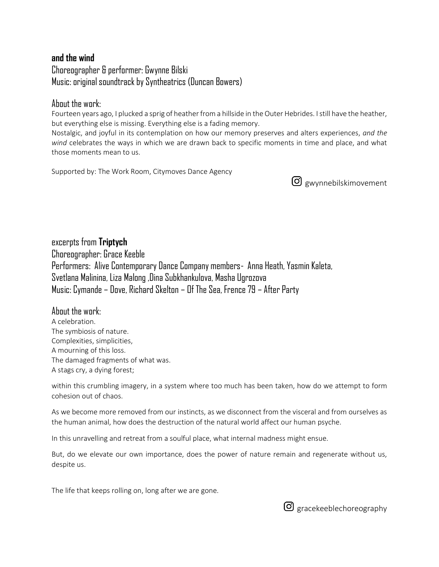### **and the wind**

Choreographer & performer: Gwynne Bilski Music: original soundtrack by Syntheatrics (Duncan Bowers)

### Ahout the work:

Fourteen years ago, I plucked a sprig of heather from a hillside in the Outer Hebrides. I still have the heather, but everything else is missing. Everything else is a fading memory.

Nostalgic, and joyful in its contemplation on how our memory preserves and alters experiences, *and the wind* celebrates the ways in which we are drawn back to specific moments in time and place, and what those moments mean to us.

Supported by: The Work Room, Citymoves Dance Agency

gwynnebilskimovement

excerpts from **Triptych** Choreographer: Grace Keeble Performers: Alive Contemporary Dance Company members- Anna Heath, Yasmin Kaleta, Svetlana Malinina, Liza Malong ,Dina Subkhankulova, Masha Ugrozova Music: Cymande – Dove, Richard Skelton – Of The Sea, Frence 79 – After Party

### About the work:

A celebration. The symbiosis of nature. Complexities, simplicities, A mourning of this loss. The damaged fragments of what was. A stags cry, a dying forest;

within this crumbling imagery, in a system where too much has been taken, how do we attempt to form cohesion out of chaos.

As we become more removed from our instincts, as we disconnect from the visceral and from ourselves as the human animal, how does the destruction of the natural world affect our human psyche.

In this unravelling and retreat from a soulful place, what internal madness might ensue.

But, do we elevate our own importance, does the power of nature remain and regenerate without us, despite us.

The life that keeps rolling on, long after we are gone.